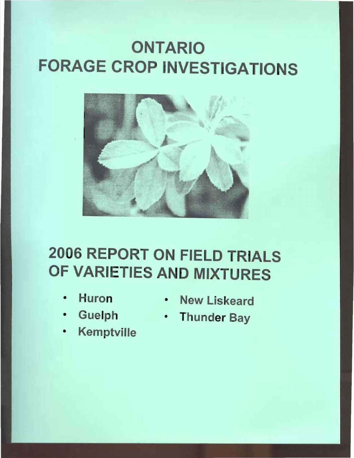# ONTARIO FORAGE CROP INVESTIGATIONS



# 2006 REPORT ON FIELD TRIALS OF VARIETIES AND MIXTURES

- 
- 
- **Kemptville**
- Huron New Liskeard
- Guelph Thunder Bay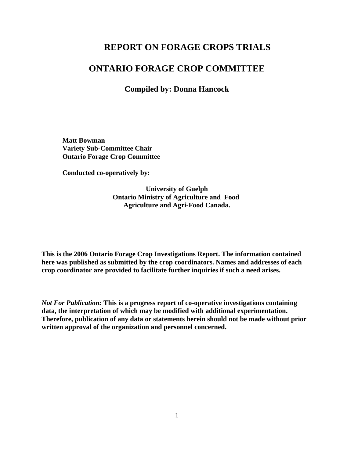### **REPORT ON FORAGE CROPS TRIALS**

#### **ONTARIO FORAGE CROP COMMITTEE**

**Compiled by: Donna Hancock**

**Matt Bowman Variety Sub-Committee Chair Ontario Forage Crop Committee**

**Conducted co-operatively by:**

**University of Guelph Ontario Ministry of Agriculture and Food Agriculture and Agri-Food Canada.**

**This is the 2006 Ontario Forage Crop Investigations Report. The information contained here was published as submitted by the crop coordinators. Names and addresses of each crop coordinator are provided to facilitate further inquiries if such a need arises.**

*Not For Publication:* **This is a progress report of co-operative investigations containing data, the interpretation of which may be modified with additional experimentation. Therefore, publication of any data or statements herein should not be made without prior written approval of the organization and personnel concerned.**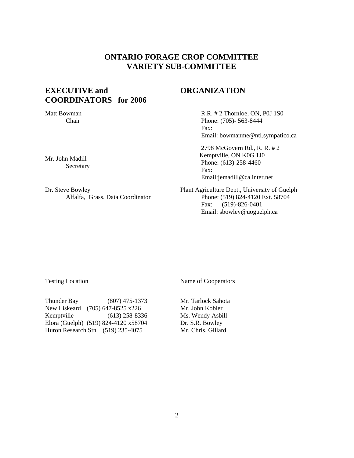#### **ONTARIO FORAGE CROP COMMITTEE VARIETY SUB-COMMITTEE**

#### **EXECUTIVE and COORDINATORS for 2006**

#### **ORGANIZATION**

Matt Bowman Chair

Mr. John Madill Secretary

Dr. Steve Bowley Alfalfa, Grass, Data Coordinator  R.R. # 2 Thornloe, ON, P0J 1S0 Phone: (705)- 563-8444 Fax: Email: bowmanme@ntl.sympatico.ca

2798 McGovern Rd., R. R. # 2 Kemptville, ON K0G 1J0 Phone: (613)-258-4460 Fax: Email:jemadill@ca.inter.net

Plant Agriculture Dept., University of Guelph Phone: (519) 824-4120 Ext. 58704 Fax: (519)-826-0401 Email: sbowley@uoguelph.ca

Testing Location Name of Cooperators

Thunder Bay (807) 475-1373 New Liskeard (705) 647-8525 x226 Kemptville (613) 258-8336 Elora (Guelph) (519) 824-4120 x58704 Huron Research Stn (519) 235-4075

Mr. Tarlock Sahota Mr. John Kobler Ms. Wendy Asbill Dr. S.R. Bowley Mr. Chris. Gillard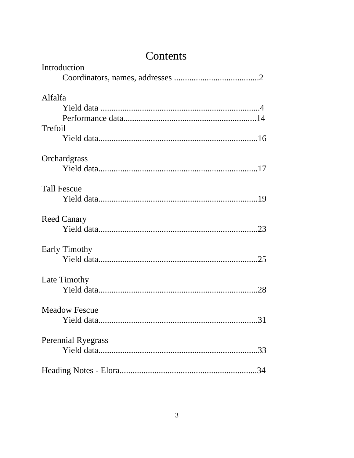## Contents

| Introduction              |
|---------------------------|
|                           |
| Alfalfa                   |
|                           |
|                           |
| Trefoil                   |
|                           |
| Orchardgrass              |
|                           |
| <b>Tall Fescue</b>        |
|                           |
| <b>Reed Canary</b>        |
|                           |
| <b>Early Timothy</b>      |
|                           |
| Late Timothy              |
|                           |
| <b>Meadow Fescue</b>      |
| .31                       |
| <b>Perennial Ryegrass</b> |
|                           |
|                           |
|                           |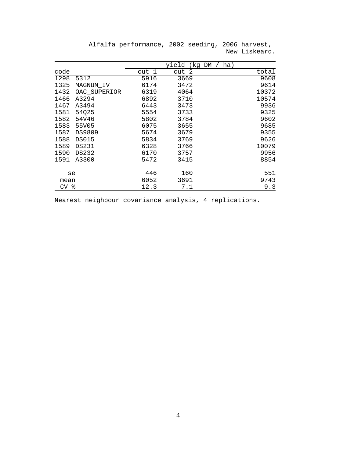|                 |              |       | yield     | ha)<br>(kg DM |
|-----------------|--------------|-------|-----------|---------------|
| code            |              | cut 1 | -2<br>cut | total         |
| 1298            | 5312         | 5916  | 3669      | 9608          |
| 1325            | MAGNUM_IV    | 6174  | 3472      | 9614          |
| 1432            | OAC_SUPERIOR | 6319  | 4064      | 10372         |
| 1466            | A3294        | 6892  | 3710      | 10574         |
| 1467            | A3494        | 6443  | 3473      | 9936          |
| 1581            | 54Q25        | 5554  | 3733      | 9325          |
| 1582            | 54V46        | 5802  | 3784      | 9602          |
| 1583            | 55V05        | 6075  | 3655      | 9685          |
| 1587            | DS9809       | 5674  | 3679      | 9355          |
| 1588            | <b>DS015</b> | 5834  | 3769      | 9626          |
| 1589            | DS231        | 6328  | 3766      | 10079         |
| 1590            | DS232        | 6170  | 3757      | 9956          |
| 1591            | A3300        | 5472  | 3415      | 8854          |
| se              |              | 446   | 160       | 551           |
| mean            |              | 6052  | 3691      | 9743          |
| CV <sub>8</sub> |              | 12.3  | 7.1       | 9.3           |

Alfalfa performance, 2002 seeding, 2006 harvest, New Liskeard.

Nearest neighbour covariance analysis, 4 replications.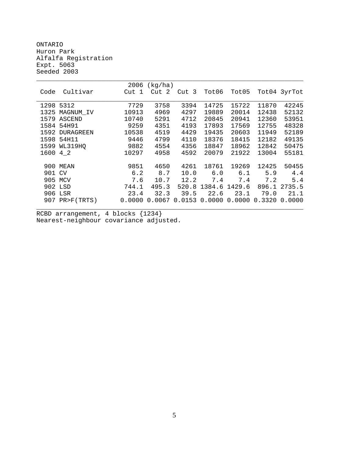ONTARIO Huron Park Alfalfa Registration Expt. 5063 Seeded 2003

|        |                | 2006   | (kg/ha)   |                 |        |        |        |              |
|--------|----------------|--------|-----------|-----------------|--------|--------|--------|--------------|
| Code   | Cultivar       | Cut 1  | -2<br>Cut | Cut 3           | Tot06  | Tot05  |        | Tot04 3yrTot |
|        |                |        |           |                 |        |        |        |              |
| 1298   | 5312           | 7729   | 3758      | 3394            | 14725  | 15722  | 11870  | 42245        |
| 1325   | MAGNUM_IV      | 10913  | 4969      | 4297            | 19889  | 20014  | 12438  | 52132        |
|        | 1579 ASCEND    | 10740  | 5291      | 4712            | 20845  | 20941  | 12360  | 53951        |
|        | 1584 54H91     | 9259   | 4351      | 4193            | 17893  | 17569  | 12755  | 48328        |
|        | 1592 DURAGREEN | 10538  | 4519      | 4429            | 19435  | 20603  | 11949  | 52189        |
| 1598   | 54H11          | 9446   | 4799      | 4110            | 18376  | 18415  | 12182  | 49135        |
| 1599   | WL319HO        | 9882   | 4554      | 4356            | 18847  | 18962  | 12842  | 50475        |
| 1600   | 4 2            | 10297  | 4958      | 4592            | 20079  | 21922  | 13004  | 55181        |
|        |                |        |           |                 |        |        |        |              |
|        | 900 MEAN       | 9851   | 4650      | 4261            | 18761  | 19269  | 12425  | 50455        |
| 901 CV |                | 6.2    | 8.7       | 10.0            | 6.0    | 6.1    | 5.9    | 4.4          |
|        | 905 MCV        | 7.6    | 10.7      | 12.2            | 7.4    | 7.4    | 7.2    | 5.4          |
|        | 902 LSD        | 744.1  | 495.3     | 520.8           | 1384.6 | 1429.6 | 896.1  | 2735.5       |
|        | 906 LSR        | 23.4   | 32.3      | 39.5            | 22.6   | 23.1   | 79.0   | 21.1         |
|        | 907 PR>F(TRTS) | 0.0000 |           | $0.0067$ 0.0153 | 0.0000 | 0.0000 | 0.3320 | 0.0000       |
|        |                |        |           |                 |        |        |        |              |

RCBD arrangement, 4 blocks {1234} Nearest-neighbour covariance adjusted.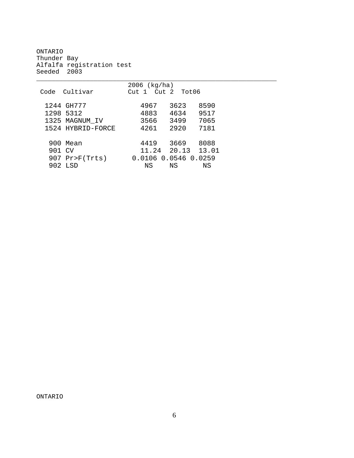ONTARIO Thunder Bay Alfalfa registration test Seeded 2003

|        |                   | $2006$ (kg/ha)          |                   |      |
|--------|-------------------|-------------------------|-------------------|------|
|        | Code Cultivar     | $Cut 1$ $Cut 2$ $Tot06$ |                   |      |
|        | 1244 GH777        | 4967                    | 3623              | 8590 |
|        | 1298 5312         | 4883                    | 4634              | 9517 |
|        | 1325 MAGNUM IV    | 3566                    | 3499              | 7065 |
|        | 1524 HYBRID-FORCE | 4261                    | 2920              | 7181 |
|        |                   |                         |                   |      |
|        | 900 Mean          | 4419                    | 3669              | 8088 |
| 901 CV |                   |                         | 11.24 20.13 13.01 |      |
|        | $907$ Pr>F(Trts)  | 0.0106  0.0546  0.0259  |                   |      |
|        | 902 LSD           | ΝS                      | ΝS                | ΝS   |

\_\_\_\_\_\_\_\_\_\_\_\_\_\_\_\_\_\_\_\_\_\_\_\_\_\_\_\_\_\_\_\_\_\_\_\_\_\_\_\_\_\_\_\_\_\_\_\_\_\_\_\_\_\_\_\_\_\_\_\_\_\_\_

ONTARIO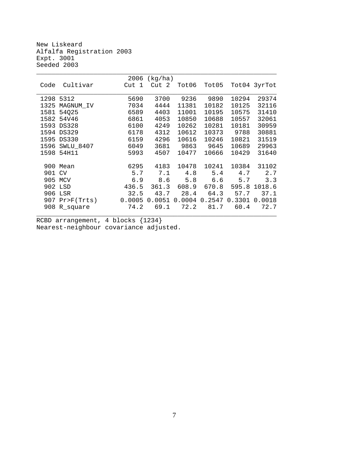New Liskeard Alfalfa Registration 2003 Expt. 3001 Seeded 2003

|      |              | 2006   | (kg/ha) |        |        |        |              |
|------|--------------|--------|---------|--------|--------|--------|--------------|
| Code | Cultivar     | Cut 1  | Cut 2   | Tot06  | Tot05  |        | Tot04 3yrTot |
|      |              |        |         |        |        |        |              |
| 1298 | 5312         | 5690   | 3700    | 9236   | 9890   | 10294  | 29374        |
| 1325 | MAGNUM IV    | 7034   | 4444    | 11381  | 10182  | 10125  | 32116        |
| 1581 | 54Q25        | 6589   | 4403    | 11001  | 10195  | 10575  | 31410        |
| 1582 | 54V46        | 6861   | 4053    | 10850  | 10688  | 10557  | 32061        |
| 1593 | <b>DS328</b> | 6100   | 4249    | 10262  | 10281  | 10181  | 30959        |
| 1594 | <b>DS329</b> | 6178   | 4312    | 10612  | 10373  | 9788   | 30881        |
| 1595 | <b>DS330</b> | 6159   | 4296    | 10616  | 10246  | 10821  | 31519        |
| 1596 | SWLU_8407    | 6049   | 3681    | 9863   | 9645   | 10689  | 29963        |
| 1598 | 54H11        | 5993   | 4507    | 10477  | 10666  | 10429  | 31640        |
|      |              |        |         |        |        |        |              |
| 900  | Mean         | 6295   | 4183    | 10478  | 10241  | 10384  | 31102        |
| 901  | <b>CV</b>    | 5.7    | 7.1     | 4.8    | 5.4    | 4.7    | 2.7          |
| 905  | MCV          | 6.9    | 8.6     | 5.8    | 6.6    | 5.7    | 3.3          |
|      | 902 LSD      | 436.5  | 361.3   | 608.9  | 670.8  | 595.8  | 1018.6       |
| 906  | LSR          | 32.5   | 43.7    | 28.4   | 64.3   | 57.7   | 37.1         |
| 907  | Pr > F(Trts) | 0.0005 | 0.0051  | 0.0004 | 0.2547 | 0.3301 | 0.0018       |
|      | 908 R_square | 74.2   | 69.1    | 72.2   | 81.7   | 60.4   | 72.7         |
|      |              |        |         |        |        |        |              |

RCBD arrangement, 4 blocks {1234} Nearest-neighbour covariance adjusted.

7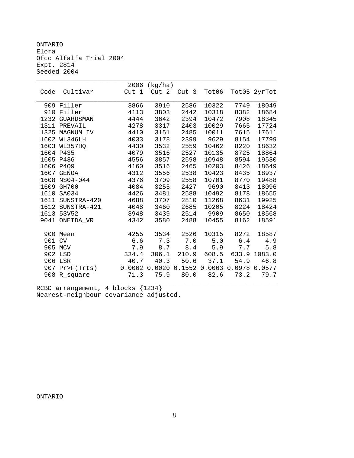ONTARIO Elora Ofcc Alfalfa Trial 2004 Expt. 2814 Seeded 2004

|        |                  | 2006  | (kg/ha) |       |                                    |       |              |
|--------|------------------|-------|---------|-------|------------------------------------|-------|--------------|
| Code   | Cultivar         | Cut 1 | Cut 2   | Cut 3 | Tot06                              |       | Tot05 2yrTot |
|        |                  |       |         |       |                                    |       |              |
|        | 909 Filler       | 3866  | 3910    | 2586  | 10322                              | 7749  | 18049        |
| 910    | Filler           | 4113  | 3803    | 2442  | 10318                              | 8382  | 18684        |
| 1232   | <b>GUARDSMAN</b> | 4444  | 3642    | 2394  | 10472                              | 7908  | 18345        |
|        | 1311 PREVAIL     | 4278  | 3317    | 2403  | 10029                              | 7665  | 17724        |
| 1325   | MAGNUM IV        | 4410  | 3151    | 2485  | 10011                              | 7615  | 17611        |
| 1602   | WL346LH          | 4033  | 3178    | 2399  | 9629                               | 8154  | 17799        |
| 1603   | WL357HO          | 4430  | 3532    | 2559  | 10462                              | 8220  | 18632        |
|        | 1604 P435        | 4079  | 3516    | 2527  | 10135                              | 8725  | 18864        |
|        | 1605 P436        | 4556  | 3857    | 2598  | 10948                              | 8594  | 19530        |
| 1606   | P4Q9             | 4160  | 3516    | 2465  | 10203                              | 8426  | 18649        |
|        | 1607 GENOA       | 4312  | 3556    | 2538  | 10423                              | 8435  | 18937        |
| 1608   | NS04-044         | 4376  | 3709    | 2558  | 10701                              | 8770  | 19488        |
|        | 1609 GH700       | 4084  | 3255    | 2427  | 9690                               | 8413  | 18096        |
| 1610   | SA034            | 4426  | 3481    | 2588  | 10492                              | 8178  | 18655        |
| 1611   | SUNSTRA-420      | 4688  | 3707    | 2810  | 11268                              | 8631  | 19925        |
|        | 1612 SUNSTRA-421 | 4048  | 3460    | 2685  | 10205                              | 8224  | 18424        |
| 1613   | 53V52            | 3948  | 3439    | 2514  | 9909                               | 8650  | 18568        |
|        | 9041 ONEIDA VR   | 4342  | 3580    | 2488  | 10455                              | 8162  | 18591        |
|        |                  |       |         |       |                                    |       |              |
|        | 900 Mean         | 4255  | 3534    | 2526  | 10315                              | 8272  | 18587        |
| 901 CV |                  | 6.6   | 7.3     | 7.0   | 5.0                                | $6.4$ | 4.9          |
|        | 905 MCV          | 7.9   | 8.7     | 8.4   | 5.9                                | 7.7   | 5.8          |
|        | 902 LSD          | 334.4 | 306.1   | 210.9 | 608.5                              | 633.9 | 1083.0       |
|        | 906 LSR          | 40.7  | 40.3    | 50.6  | 37.1                               | 54.9  | 46.8         |
| 907    | Pr>F(Trts)       |       |         |       | 0.0062 0.0020 0.1552 0.0063 0.0978 |       | 0.0577       |
|        | 908 R_square     | 71.3  | 75.9    | 80.0  | 82.6                               | 73.2  | 79.7         |
|        |                  |       |         |       |                                    |       |              |

RCBD arrangement, 4 blocks {1234} Nearest-neighbour covariance adjusted.

ONTARIO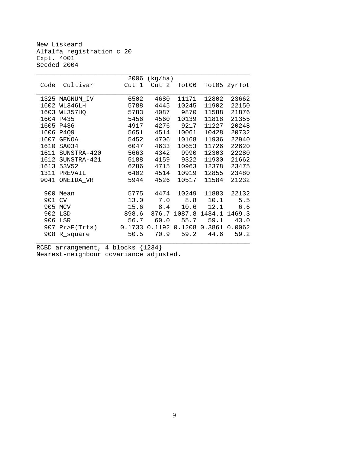New Liskeard Alfalfa registration c 20 Expt. 4001 Seeded 2004

|        |                  |       | $2006$ (kg/ha)                       |             |       |              |
|--------|------------------|-------|--------------------------------------|-------------|-------|--------------|
| Code   | Cultivar         | Cut 1 |                                      | Cut 2 Tot06 |       | Tot05 2yrTot |
|        |                  |       |                                      |             |       |              |
|        | 1325 MAGNUM_IV   | 6502  | 4680                                 | 11171       | 12802 | 23662        |
|        | 1602 WL346LH     | 5788  | 4445                                 | 10245       | 11902 | 22150        |
|        | 1603 WL357HQ     | 5783  |                                      | 4087 9870   | 11588 | 21876        |
|        | 1604 P435        | 5456  | 4560                                 | 10139       | 11818 | 21355        |
|        | 1605 P436        | 4917  | 4276                                 | 9217        | 11227 | 20248        |
|        | 1606 P4Q9        | 5651  | 4514                                 | 10061       | 10428 | 20732        |
|        | 1607 GENOA       | 5452  | 4706                                 | 10168       | 11936 | 22940        |
|        | 1610 SA034       | 6047  | 4633                                 | 10653       | 11726 | 22620        |
|        | 1611 SUNSTRA-420 | 5663  |                                      | 4342 9990   | 12303 | 22280        |
|        | 1612 SUNSTRA-421 | 5188  |                                      | 4159 9322   | 11930 | 21662        |
|        | 1613 53V52       | 6286  | 4715                                 | 10963       | 12378 | 23475        |
|        | 1311 PREVAIL     | 6402  | 4514                                 | 10919       | 12855 | 23480        |
|        | 9041 ONEIDA VR   | 5944  | 4526                                 | 10517       | 11584 | 21232        |
|        |                  |       |                                      |             |       |              |
|        | 900 Mean         |       | 5775 4474 10249                      |             | 11883 | 22132        |
| 901 CV |                  |       | 13.0 7.0 8.8 10.1 5.5                |             |       |              |
|        | 905 MCV          |       | $15.6$ $8.4$                         | 10.6        |       | 12.1 6.6     |
|        | 902 LSD          |       | 898.6 376.7 1087.8 1434.1 1469.3     |             |       |              |
|        | 906 LSR          |       | 56.7 60.0 55.7 59.1 43.0             |             |       |              |
|        | 907 Pr>F(Trts)   |       | $0.1733$ 0.1192 0.1208 0.3861 0.0062 |             |       |              |
|        | 908 R_square     | 50.5  |                                      | 70.9 59.2   | 44.6  | 59.2         |
|        |                  |       |                                      |             |       |              |

RCBD arrangement, 4 blocks {1234} Nearest-neighbour covariance adjusted.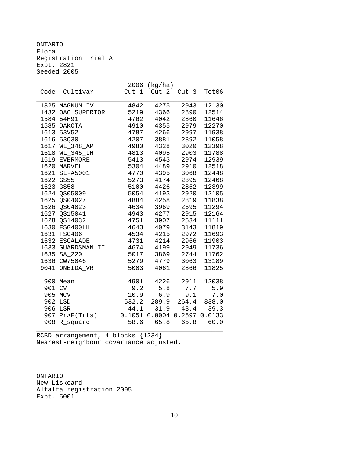ONTARIO Elora Registration Trial A Expt. 2821 Seeded 2005

|        |                   |                  | 2006 (kg/ha)                |               |       |
|--------|-------------------|------------------|-----------------------------|---------------|-------|
| Code   | Cultivar          | Cut <sub>1</sub> | Cut 2                       | Cut 3         | Tot06 |
|        | 1325 MAGNUM_IV    | 4842             | 4275                        | 2943          | 12130 |
|        | 1432 OAC_SUPERIOR | 5219             | 4366                        | 2890          | 12514 |
|        | 1584 54H91        | 4762             | 4042                        | 2860          | 11646 |
|        | 1585 DAKOTA       | 4910             | 4355                        | 2979          | 12270 |
|        | 1613 53V52        | 4787             | 4266                        | 2997          | 11938 |
|        | 1616 53Q30        | 4207             | 3881                        | 2892          | 11058 |
|        | 1617 WL_348_AP    | 4980             | 4328                        | 3020          | 12398 |
|        | 1618 WL_345_LH    | 4813             | 4095                        | 2903          | 11788 |
|        | 1619 EVERMORE     | 5413             | 4543                        | 2974          | 12939 |
|        | 1620 MARVEL       | 5304             | 4489                        | 2910          | 12518 |
|        | 1621 SL-A5001     | 4770             | 4395                        | 3068          | 12448 |
|        | 1622 GS55         | 5273             | 4174                        | 2895          | 12468 |
|        | 1623 GS58         | 5100             | 4426                        | 2852          | 12399 |
|        | 1624 QS05009      | 5054             | 4193                        | 2920          | 12105 |
|        | 1625 QS04027      | 4884             | 4258                        | 2819          | 11838 |
|        | 1626 QS04023      | 4634             | 3969                        | 2695          | 11294 |
|        | 1627 QS15041      | 4943             | 4277                        | 2915          | 12164 |
|        | 1628 QS14032      | 4751             | 3907                        | 2534          | 11111 |
|        | 1630 FSG400LH     | 4643             | 4079                        | 3143          | 11819 |
|        | 1631 FSG406       | 4534             | 4215                        | 2972          | 11693 |
|        | 1632 ESCALADE     | 4731             | 4214                        | 2966          | 11903 |
|        | 1633 GUARDSMAN_II | 4674             | 4199                        | 2949          | 11736 |
|        | 1635 SA_220       | 5017             | 3869                        | 2744          | 11762 |
|        | 1636 CW75046      | 5279             | 4779                        | 3063          | 13189 |
| 9041   | ONEIDA_VR         | 5003             | 4061                        | 2866          | 11825 |
|        | 900 Mean          | 4901             | 4226                        | 2911          | 12038 |
| 901 CV |                   | 9.2              | 5.8                         | 7.7           | 5.9   |
|        | 905 MCV           | 10.9             | 6.9                         | 9.1           | 7.0   |
|        | 902 LSD           | 532.2            | 289.9                       | 264.4         | 838.0 |
|        | 906 LSR           | 44.1             |                             | $31.9$ $43.4$ | 39.3  |
|        | 907 Pr>F(Trts)    |                  | 0.1051 0.0004 0.2597 0.0133 |               |       |
| 908    | R_square          | 58.6             | 65.8                        | 65.8          | 60.0  |

RCBD arrangement, 4 blocks {1234} Nearest-neighbour covariance adjusted.

ONTARIO New Liskeard Alfalfa registration 2005 Expt. 5001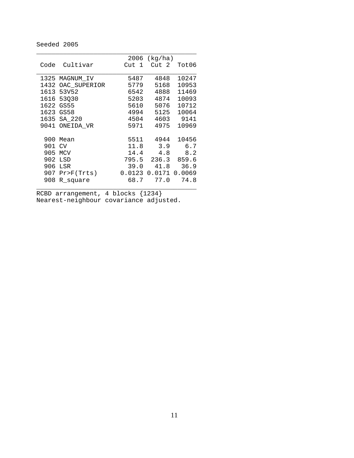#### Seeded 2005

|      |                  |       | $2006$ (kg/ha) |        |
|------|------------------|-------|----------------|--------|
| Code | Cultivar         | Cut 1 | Cut 2          | Tot06  |
|      |                  |       |                |        |
|      | 1325 MAGNUM IV   | 5487  | 4848           | 10247  |
| 1432 | OAC_SUPERIOR     | 5779  | 5168           | 10953  |
| 1613 | 53V52            | 6542  | 4888           | 11469  |
|      | 1616 53030       | 5203  | 4874           | 10093  |
|      | 1622 GS55        | 5610  | 5076           | 10712  |
|      | 1623 GS58        | 4994  | 5125           | 10064  |
| 1635 | $SA_220$         | 4504  | 4603           | 9141   |
| 9041 | ONEIDA VR        | 5971  | 4975           | 10969  |
|      |                  |       |                |        |
| 900  | Mean             | 5511  | 4944           | 10456  |
| 901  | CV               | 11.8  | 3.9            | 6.7    |
| 905  | <b>MCV</b>       | 14.4  | 4.8            | 8.2    |
| 902  | LSD              | 795.5 | 236.3          | 859.6  |
| 906  | LSR              | 39.0  | 41.8           | 36.9   |
|      | $907$ Pr>F(Trts) |       | 0.0123 0.0171  | 0.0069 |
| 908  | R square         | 68.7  | 77.0           | 74.8   |
|      |                  |       |                |        |

RCBD arrangement, 4 blocks {1234} Nearest-neighbour covariance adjusted.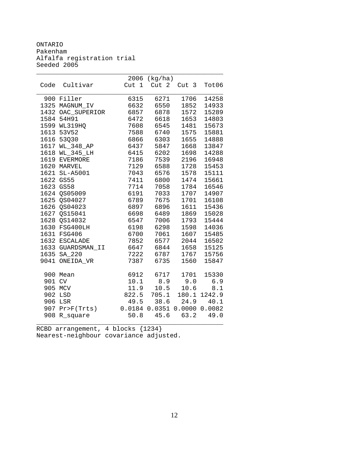ONTARIO Pakenham Alfalfa registration trial Seeded 2005

|        |                   |                  | 2006 (kg/ha)         |                  |        |
|--------|-------------------|------------------|----------------------|------------------|--------|
| Code   | Cultivar          | Cut <sub>1</sub> | Cut 2                | Cut <sub>3</sub> | Tot06  |
|        | 900 Filler        | 6315             | 6271                 | 1706             | 14258  |
|        | 1325 MAGNUM_IV    | 6632             | 6550                 | 1852             | 14933  |
|        | 1432 OAC_SUPERIOR | 6857             | 6878                 | 1572             | 15289  |
| 1584   | 54H91             | 6472             | 6618                 | 1653             | 14803  |
|        | 1599 WL319HQ      | 7608             | 6545                 | 1481             | 15673  |
|        | 1613 53V52        | 7588             | 6740                 | 1575             | 15881  |
|        | 1616 53Q30        | 6866             | 6303                 | 1655             | 14888  |
|        | 1617 WL_348_AP    | 6437             | 5847                 | 1668             | 13847  |
|        | 1618 WL_345_LH    | 6415             | 6202                 | 1698             | 14288  |
|        | 1619 EVERMORE     | 7186             | 7539                 | 2196             | 16948  |
|        | 1620 MARVEL       | 7129             | 6588                 | 1728             | 15453  |
|        | 1621 SL-A5001     | 7043             | 6576                 | 1578             | 15111  |
|        | 1622 GS55         | 7411             | 6800                 | 1474             | 15661  |
|        | 1623 GS58         | 7714             | 7058                 | 1784             | 16546  |
|        | 1624 QS05009      | 6191             | 7033                 | 1707             | 14907  |
|        | 1625 QS04027      | 6789             | 7675                 | 1701             | 16108  |
|        | 1626 QS04023      | 6897             | 6896                 | 1611             | 15436  |
|        | 1627 QS15041      | 6698             | 6489                 | 1869             | 15028  |
|        | 1628 QS14032      | 6547             | 7006                 | 1793             | 15444  |
|        | 1630 FSG400LH     | 6198             | 6298                 | 1598             | 14036  |
|        | 1631 FSG406       | 6700             | 7061                 | 1607             | 15485  |
|        | 1632 ESCALADE     | 7852             | 6577                 | 2044             | 16502  |
|        | 1633 GUARDSMAN_II | 6647             | 6844                 | 1658             | 15125  |
| 1635   | SA_220            | 7222             | 6787                 | 1767             | 15756  |
| 9041   | ONEIDA VR         | 7387             | 6735                 | 1560             | 15847  |
|        | 900 Mean          | 6912             | 6717                 | 1701             | 15330  |
| 901 CV |                   | 10.1             | 8.9                  | 9.0              | 6.9    |
|        | 905 MCV           | 11.9             | 10.5                 | 10.6             | 8.1    |
|        | 902 LSD           | 822.5            | 705.1                | 180.1            | 1242.9 |
|        | 906 LSR           | 49.5             | 38.6                 | 24.9             | 40.1   |
|        | 907 Pr>F(Trts)    | 0.0184           | 0.0351 0.0000 0.0082 |                  |        |
| 908    | R_square          | 50.8             | 45.6                 | 63.2             | 49.0   |
|        |                   |                  |                      |                  |        |

RCBD arrangement, 4 blocks {1234} Nearest-neighbour covariance adjusted.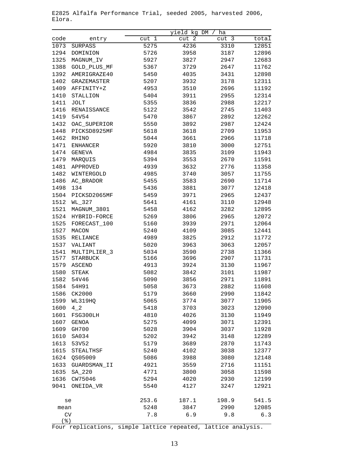|                       |                  |       | yield kg DM           | ha                    |       |
|-----------------------|------------------|-------|-----------------------|-----------------------|-------|
| code                  | entry            | cut 1 | $\overline{c}$<br>cut | $\overline{3}$<br>cut | total |
| 1073                  | <b>SURPASS</b>   | 5275  | 4236                  | 3310                  | 12851 |
| 1294                  | DOMINION         | 5726  | 3958                  | 3187                  | 12896 |
| 1325                  | MAGNUM_IV        | 5927  | 3827                  | 2947                  | 12683 |
| 1388                  | GOLD_PLUS_MF     | 5367  | 3729                  | 2647                  | 11762 |
| 1392                  | AMERIGRAZE40     | 5450  | 4035                  | 3431                  | 12898 |
| 1402                  | GRAZEMASTER      | 5207  | 3932                  | 3178                  | 12311 |
| 1409                  | AFFINITY+Z       | 4953  | 3510                  | 2696                  | 11192 |
| 1410                  | STALLION         | 5404  | 3911                  | 2955                  | 12314 |
| 1411                  | JOLT             | 5355  | 3836                  | 2988                  | 12217 |
| 1416                  | RENAISSANCE      | 5122  | 3542                  | 2745                  | 11403 |
| 1419                  | 54V54            | 5470  | 3867                  | 2892                  | 12262 |
| 1432                  | OAC_SUPERIOR     | 5550  | 3892                  | 2987                  | 12424 |
| 1448                  | PICKSD8925MF     | 5618  | 3618                  | 2709                  | 11953 |
| 1462                  | RHINO            | 5044  | 3661                  | 2966                  | 11718 |
| 1471                  | <b>ENHANCER</b>  | 5920  | 3810                  | 3000                  | 12751 |
| 1474                  | <b>GENEVA</b>    | 4984  | 3835                  | 3109                  | 11943 |
| 1479                  | MARQUIS          | 5394  | 3553                  | 2670                  | 11591 |
| 1481                  | APPROVED         | 4939  | 3632                  | 2776                  | 11358 |
| 1482                  | WINTERGOLD       | 4985  | 3740                  | 3057                  | 11755 |
| 1486                  | AC_BRADOR        | 5455  | 3583                  | 2690                  | 11714 |
| 1498                  | 134              | 5436  | 3881                  | 3077                  | 12418 |
| 1504                  | PICKSD2065MF     | 5459  | 3971                  | 2965                  | 12437 |
| 1512                  | WL_327           | 5641  | 4161                  | 3110                  | 12948 |
| 1521                  | MAGNUM_3801      | 5458  | 4162                  | 3282                  | 12895 |
| 1524                  | HYBRID-FORCE     | 5269  | 3806                  | 2965                  | 12072 |
| 1525                  | FORECAST_100     | 5160  | 3939                  | 2971                  | 12064 |
| 1527                  | MACON            | 5240  | 4109                  | 3085                  | 12441 |
| 1535                  | RELIANCE         | 4989  | 3825                  | 2912                  | 11772 |
| 1537                  | VALIANT          | 5020  | 3963                  | 3063                  | 12057 |
| 1541                  | MULTIPLIER 3     | 5034  | 3590                  | 2738                  | 11366 |
| 1577                  | <b>STARBUCK</b>  | 5166  | 3696                  | 2907                  | 11731 |
| 1579                  | <b>ASCEND</b>    | 4913  | 3924                  | 3130                  | 11967 |
| 1580                  | STEAK            | 5082  | 3842                  | 3101                  | 11987 |
| 1582                  | 54V46            | 5090  | 3856                  | 2971                  | 11891 |
| 1584                  | 54H91            | 5058  | 3673                  | 2882                  | 11608 |
| 1586                  | CK2000           | 5179  | 3660                  | 2990                  | 11842 |
| 1599                  | WL319HQ          | 5065  | 3774                  | 3077                  | 11905 |
| 1600                  | 42               | 5418  | 3703                  | 3023                  | 12090 |
| 1601                  | FSG300LH         | 4810  | 4026                  | 3130                  | 11949 |
| 1607                  | GENOA            | 5275  | 4099                  | 3071                  | 12391 |
| 1609                  | GH700            | 5028  | 3904                  | 3037                  | 11928 |
| 1610                  | SA034            | 5202  | 3942                  | 3148                  | 12289 |
| 1613                  | 53V52            | 5179  | 3689                  | 2870                  | 11743 |
| 1615                  | <b>STEALTHSF</b> | 5240  | 4102                  | 3038                  | 12377 |
| 1624                  | QS05009          | 5086  | 3988                  | 3080                  | 12148 |
| 1633                  | GUARDSMAN_II     | 4921  | 3559                  | 2716                  | 11151 |
| 1635                  | SA_220           | 4771  | 3800                  | 3058                  | 11598 |
| 1636                  | CW75046          | 5294  | 4020                  | 2930                  | 12199 |
| 9041                  | ONEIDA VR        | 5540  | 4127                  | 3247                  | 12921 |
|                       |                  |       |                       |                       |       |
| se                    |                  | 253.6 | 187.1                 | 198.9                 | 541.5 |
| mean                  |                  | 5248  | 3847                  | 2990                  | 12085 |
| CV                    |                  | 7.8   | 6.9                   | 9.8                   | 6.3   |
| $($ $\frac{6}{6}$ $)$ |                  |       |                       |                       |       |

E2825 Alfalfa Performance Trial, seeded 2005, harvested 2006, Elora.

Four replications, simple lattice repeated, lattice analysis.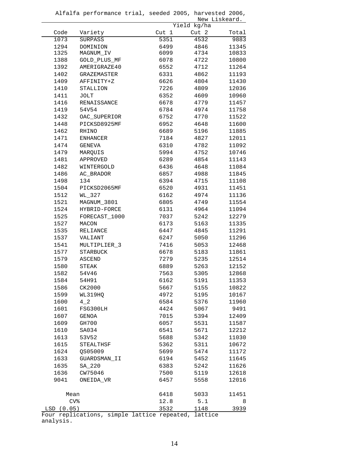|               |                    |                  |             | New Liskeard. |
|---------------|--------------------|------------------|-------------|---------------|
|               |                    |                  | Yield kg/ha |               |
| Code          | Variety            | Cut <sub>1</sub> | Cut 2       | Total         |
| 1073          | <b>SURPASS</b>     | 5351             | 4532        | 9883          |
| 1294          | DOMINION           | 6499             | 4846        | 11345         |
| 1325          | MAGNUM IV          | 6099             | 4734        | 10833         |
| 1388          | GOLD_PLUS_MF       | 6078             | 4722        | 10800         |
| 1392          | AMERIGRAZE40       | 6552             | 4712        | 11264         |
| 1402          | <b>GRAZEMASTER</b> | 6331             | 4862        | 11193         |
| 1409          | AFFINITY+Z         | 6626             | 4804        | 11430         |
| 1410          | STALLION           | 7226             | 4809        | 12036         |
| 1411          | JOLT               | 6352             | 4609        | 10960         |
| 1416          | RENAISSANCE        | 6678             | 4779        | 11457         |
| 1419          | 54V54              | 6784             | 4974        | 11758         |
| 1432          | OAC_SUPERIOR       | 6752             | 4770        | 11522         |
| 1448          | PICKSD8925MF       | 6952             | 4648        | 11600         |
| 1462          | RHINO              | 6689             | 5196        | 11885         |
| 1471          | <b>ENHANCER</b>    | 7184             | 4827        | 12011         |
| 1474          | GENEVA             | 6310             | 4782        | 11092         |
| 1479          | MARQUIS            | 5994             | 4752        | 10746         |
| 1481          | APPROVED           | 6289             | 4854        | 11143         |
| 1482          | WINTERGOLD         | 6436             | 4648        | 11084         |
| 1486          | AC_BRADOR          | 6857             | 4988        | 11845         |
| 1498          | 134                | 6394             | 4715        | 11108         |
| 1504          | PICKSD2065MF       | 6520             | 4931        | 11451         |
| 1512          | WL_327             | 6162             | 4974        | 11136         |
| 1521          | MAGNUM 3801        | 6805             | 4749        | 11554         |
| 1524          | HYBRID-FORCE       | 6131             | 4964        | 11094         |
| 1525          | FORECAST 1000      | 7037             | 5242        | 12279         |
| 1527          | MACON              | 6173             | 5163        | 11335         |
| 1535          | RELIANCE           | 6447             | 4845        | 11291         |
| 1537          | VALIANT            | 6247             | 5050        | 11296         |
| 1541          | MULTIPLIER_3       | 7416             | 5053        | 12468         |
| 1577          | <b>STARBUCK</b>    | 6678             | 5183        | 11861         |
| 1579          | ASCEND             | 7279             | 5235        | 12514         |
| 1580          | STEAK              | 6889             | 5263        | 12152         |
| 1582          | 54V46              | 7563             | 5305        | 12868         |
| 1584          | 54H91              | 6162             | 5191        | 11353         |
| 1586          | CK2000             | 5667             | 5155        | 10822         |
| 1599          | WL319HQ            | 4972             | 5195        | 10167         |
| 1600          | $4-2$              | 6584             | 5376        | 11960         |
| 1601          | FSG300LH           | 4424             | 5067        | 9491          |
| 1607          | GENOA              | 7015             | 5394        | 12409         |
| 1609          | GH700              | 6057             | 5531        | 11587         |
| 1610          | SA034              | 6541             | 5671        | 12212         |
| 1613          | 53V52              | 5688             | 5342        | 11030         |
| 1615          | STEALTHSF          | 5362             | 5311        | 10672         |
| 1624          | QS05009            | 5699             | 5474        | 11172         |
| 1633          | GUARDSMAN II       | 6194             | 5452        | 11645         |
| 1635          | SA_220             | 6383             | 5242        | 11626         |
| 1636          | CW75046            | 7500             | 5119        | 12618         |
| 9041          | ONEIDA VR          | 6457             | 5558        | 12016         |
|               |                    |                  |             |               |
| Mean          |                    | 6418             | 5033        | 11451         |
|               | CV <sub>s</sub>    | 12.8             | 5.1         | 8             |
| LSD<br>(0.05) |                    | 3532             | 1148        | 3939          |

Alfalfa performance trial, seeded 2005, harvested 2006,

Four replications, simple lattice repeated, lattice analysis.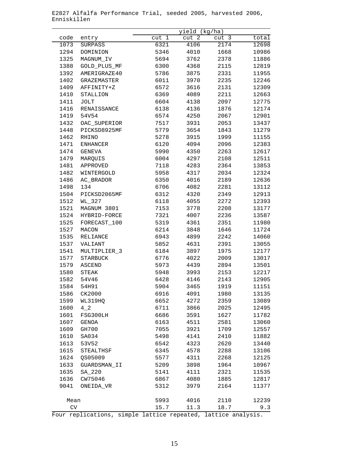|      |                 | yield (kg/ha) |       |                  |       |  |
|------|-----------------|---------------|-------|------------------|-------|--|
| code | entry           | cut 1         | cut 2 | cut <sub>3</sub> | total |  |
| 1073 | SURPASS         | 6321          | 4106  | 2174             | 12698 |  |
| 1294 | DOMINION        | 5346          | 4010  | 1668             | 10986 |  |
| 1325 | MAGNUM_IV       | 5694          | 3762  | 2378             | 11886 |  |
| 1388 | GOLD_PLUS_MF    | 6300          | 4368  | 2115             | 12819 |  |
| 1392 | AMERIGRAZE40    | 5786          | 3875  | 2331             | 11955 |  |
| 1402 | GRAZEMASTER     | 6011          | 3970  | 2235             | 12246 |  |
| 1409 | AFFINITY+Z      | 6572          | 3616  | 2131             | 12309 |  |
| 1410 | STALLION        | 6369          | 4089  | 2211             | 12663 |  |
| 1411 | <b>JOLT</b>     | 6604          | 4138  | 2097             | 12775 |  |
| 1416 | RENAISSANCE     | 6138          | 4136  | 1876             | 12174 |  |
| 1419 | 54V54           | 6574          | 4250  | 2067             | 12901 |  |
| 1432 | OAC_SUPERIOR    | 7517          | 3931  | 2053             | 13437 |  |
| 1448 | PICKSD8925MF    | 5779          | 3654  | 1843             | 11279 |  |
| 1462 | RHINO           | 5278          | 3915  | 1999             | 11155 |  |
| 1471 | <b>ENHANCER</b> | 6120          | 4094  | 2096             | 12383 |  |
| 1474 | GENEVA          | 5990          | 4350  | 2263             | 12617 |  |
| 1479 | MARQUIS         | 6004          | 4297  | 2108             | 12511 |  |
| 1481 | APPROVED        | 7118          | 4283  | 2364             | 13853 |  |
| 1482 | WINTERGOLD      | 5958          | 4317  | 2034             | 12324 |  |
| 1486 | AC_BRADOR       | 6350          | 4016  | 2189             | 12636 |  |
| 1498 | 134             | 6706          | 4082  | 2281             | 13112 |  |
| 1504 | PICKSD2065MF    | 6312          | 4320  | 2349             | 12913 |  |
| 1512 | WL_327          | 6118          | 4055  | 2272             | 12393 |  |
| 1521 | MAGNUM 3801     | 7153          | 3778  | 2208             | 13177 |  |
| 1524 | HYBRID-FORCE    | 7321          | 4007  | 2236             | 13587 |  |
| 1525 | FORECAST_100    | 5319          | 4361  | 2351             | 11980 |  |
| 1527 | MACON           | 6214          | 3848  | 1646             | 11724 |  |
| 1535 | RELIANCE        | 6943          | 4899  | 2242             | 14060 |  |
| 1537 | VALIANT         | 5852          | 4631  | 2391             | 13055 |  |
| 1541 | MULTIPLIER_3    | 6184          | 3897  | 1975             | 12177 |  |
| 1577 | <b>STARBUCK</b> | 6776          | 4022  | 2009             | 13017 |  |
| 1579 | ASCEND          | 5973          | 4439  | 2894             | 13501 |  |
| 1580 | STEAK           | 5948          | 3993  | 2153             | 12217 |  |
| 1582 | 54V46           | 6428          | 4146  | 2143             | 12905 |  |
| 1584 | 54H91           | 5904          | 3465  | 1919             | 11151 |  |
| 1586 | CK2000          | 6916          | 4091  | 1980             | 13135 |  |
| 1599 | WL319HQ         | 6652          | 4272  | 2359             | 13089 |  |
| 1600 | $4-2$           | 6711          | 3866  | 2025             | 12495 |  |
| 1601 | FSG300LH        | 6686          | 3591  | 1627             | 11782 |  |
| 1607 | GENOA           | 6163          | 4511  | 2581             | 13060 |  |
| 1609 | GH700           | 7055          | 3921  | 1709             | 12557 |  |
| 1610 | SA034           | 5498          | 4141  | 2410             | 11882 |  |
| 1613 | 53V52           | 6542          | 4323  | 2620             | 13440 |  |
| 1615 | STEALTHSF       | 6345          | 4578  | 2288             | 13106 |  |
| 1624 | QS05009         | 5577          | 4311  | 2268             | 12125 |  |
| 1633 | GUARDSMAN II    | 5209          | 3898  | 1964             | 10967 |  |
| 1635 | SA_220          | 5141          | 4111  | 2321             | 11535 |  |
| 1636 | CW75046         | 6867          | 4080  | 1885             | 12817 |  |
| 9041 |                 | 5312          | 3979  | 2164             | 11377 |  |
|      | ONEIDA_VR       |               |       |                  |       |  |
| Mean |                 | 5993          | 4016  | 2110             | 12239 |  |
| CV   |                 |               | 11.3  | 18.7             | 9.3   |  |
|      |                 | 15.7          |       |                  |       |  |

E2827 Alfalfa Performance Trial, seeded 2005, harvested 2006, Enniskillen

Four replications, simple lattice repeated, lattice analysis.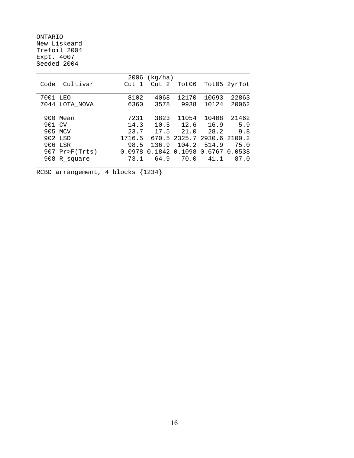ONTARIO New Liskeard Trefoil 2004 Expt. 4007 Seeded 2004

|          |                |                  | $2006$ (kg/ha) |             |                            |              |
|----------|----------------|------------------|----------------|-------------|----------------------------|--------------|
| Code     | Cultivar       | Cut <sub>1</sub> | Cut 2          | Tot06       |                            | Tot05 2yrTot |
|          |                |                  |                |             |                            |              |
| 7001 LEO |                | 8102             | 4068           | 12170       | 10693                      | 22863        |
|          | 7044 LOTA_NOVA | 6360             | 3578           | 9938        | 10124                      | 20062        |
|          |                |                  |                |             |                            |              |
|          | 900 Mean       | 7231             | 3823           | 11054       | 10408                      | 21462        |
| 901 CV   |                | 14.3             |                |             | 10.5 12.6 16.9             | 5.9          |
| 905 MCV  |                |                  | $23.7$ 17.5    | 21.0        | 28.2                       | 9.8          |
| 902 LSD  |                | 1716.5           |                |             | 670.5 2325.7 2930.6 2100.2 |              |
| 906 LSR  |                | 98.5             | 136.9          | 104.2 514.9 |                            | 75.0         |
|          | 907 Pr>F(Trts) | 0.0978           | 0.1842         |             | 0.1098 0.6767 0.0538       |              |
|          | 908 R_square   | 73.1             |                | 64.9 70.0   | 41.1                       | 87.0         |
|          |                |                  |                |             |                            |              |
|          |                |                  |                |             |                            |              |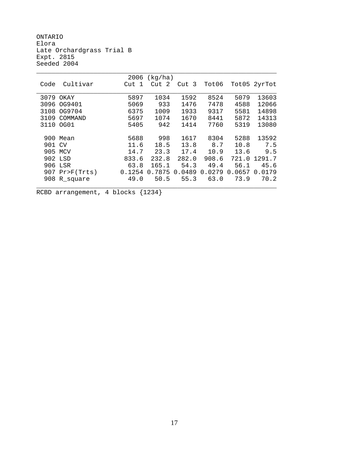ONTARIO Elora Late Orchardgrass Trial B Expt. 2815 Seeded 2004

|        |            | 2006   | (kg/ha) |        |        |        |              |
|--------|------------|--------|---------|--------|--------|--------|--------------|
| Code   | Cultivar   | Cut 1  | Cut 2   | Cut 3  | Tot06  |        | Tot05 2yrTot |
|        |            |        |         |        |        |        |              |
| 3079   | OKAY       | 5897   | 1034    | 1592   | 8524   | 5079   | 13603        |
| 3096   | OG9401     | 5069   | 933     | 1476   | 7478   | 4588   | 12066        |
| 3108   | OG9704     | 6375   | 1009    | 1933   | 9317   | 5581   | 14898        |
| 3109   | COMMAND    | 5697   | 1074    | 1670   | 8441   | 5872   | 14313        |
| 3110   | OG01       | 5405   | 942     | 1414   | 7760   | 5319   | 13080        |
|        |            |        |         |        |        |        |              |
| 900    | Mean       | 5688   | 998     | 1617   | 8304   | 5288   | 13592        |
| 901 CV |            | 11.6   | 18.5    | 13.8   | 8.7    | 10.8   | 7.5          |
|        | 905 MCV    | 14.7   | 23.3    | 17.4   | 10.9   | 13.6   | 9.5          |
|        | 902 LSD    | 833.6  | 232.8   | 282.0  | 908.6  | 721.0  | 1291.7       |
| 906    | LSR        | 63.8   | 165.1   | 54.3   | 49.4   | 56.1   | 45.6         |
| 907    | Pr>F(Trts) | 0.1254 | 0.7875  | 0.0489 | 0.0279 | 0.0657 | 0.0179       |
| 908    | R square   | 49.0   | 50.5    | 55.3   | 63.0   | 73.9   | 70.2         |
|        |            |        |         |        |        |        |              |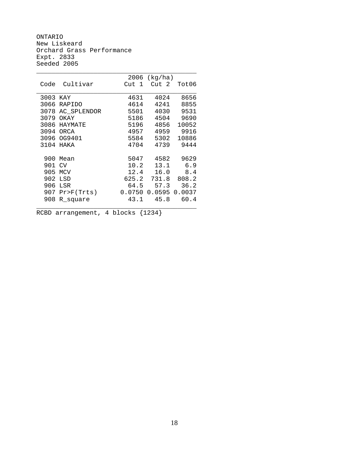ONTARIO New Liskeard Orchard Grass Performance Expt. 2833 Seeded 2005

|          |               | 2006     | (kg/ha)          |        |
|----------|---------------|----------|------------------|--------|
| Code     | Cultivar      | Cut<br>1 | Cut <sub>2</sub> | Tot06  |
|          |               |          |                  |        |
| 3003 KAY |               | 4631     | 4024             | 8656   |
| 3066     | <b>RAPIDO</b> | 4614     | 4241             | 8855   |
| 3078     | AC_SPLENDOR   | 5501     | 4030             | 9531   |
| 3079     | OKAY          | 5186     | 4504             | 9690   |
| 3086     | HAYMATE       | 5196     | 4856             | 10052  |
| 3094     | <b>ORCA</b>   | 4957     | 4959             | 9916   |
| 3096     | OG9401        | 5584     | 5302             | 10886  |
| 3104     | HAKA          | 4704     | 4739             | 9444   |
|          |               |          |                  |        |
| 900      | Mean          | 5047     | 4582             | 9629   |
| 901      | <b>CV</b>     | 10.2     | 13.1             | 6.9    |
| 905      | <b>MCV</b>    | 12.4     | 16.0             | 8.4    |
| 902      | LSD           | 625.2    | 731.8            | 808.2  |
| 906      | LSR           | 64.5     | 57.3             | 36.2   |
| 907      | Pr>F(Trts)    | 0.0750   | 0.0595           | 0.0037 |
| 908      | R square      | 43.1     | 45.8             | 60.4   |
|          |               |          |                  |        |

RCBD arrangement, 4 blocks {1234}

18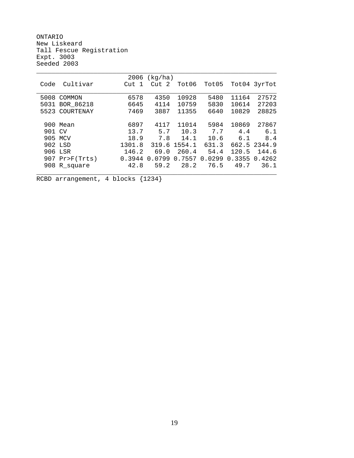ONTARIO New Liskeard Tall Fescue Registration Expt. 3003 Seeded 2003

|        |                  | 2006      | (kg/ha) |        |        |        |              |
|--------|------------------|-----------|---------|--------|--------|--------|--------------|
| Code   | Cultivar         | Cut<br>-1 | Cut 2   | Tot06  | Tot05  |        | Tot04 3yrTot |
|        |                  |           |         |        |        |        |              |
| 5008   | COMMON           | 6578      | 4350    | 10928  | 5480   | 11164  | 27572        |
| 5031   | BOR 86218        | 6645      | 4114    | 10759  | 5830   | 10614  | 27203        |
|        | 5523 COURTENAY   | 7469      | 3887    | 11355  | 6640   | 10829  | 28825        |
|        |                  |           |         |        |        |        |              |
|        | 900 Mean         | 6897      | 4117    | 11014  | 5984   | 10869  | 27867        |
| 901 CV |                  | 13.7      | 5.7     | 10.3   | 7.7    | 4.4    | 6.1          |
|        | 905 MCV          | 18.9      | 7.8     | 14.1   | 10.6   | 6.1    | 8.4          |
|        | 902 LSD          | 1301.8    | 319.6   | 1554.1 | 631.3  |        | 662.5 2344.9 |
|        | 906 LSR          | 146.2     | 69.0    | 260.4  | 54.4   | 120.5  | 144.6        |
|        | $907$ Pr>F(Trts) | 0.3944    | 0.0799  | 0.7557 | 0.0299 | 0.3355 | 0.4262       |
|        | 908 R_square     | 42.8      | 59.2    | 28.2   | 76.5   | 49.7   | 36.1         |
|        |                  |           |         |        |        |        |              |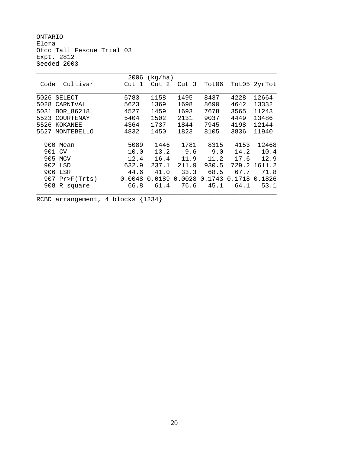ONTARIO Elora Ofcc Tall Fescue Trial 03 Expt. 2812 Seeded 2003

|                    | 2006      | (kg/ha) |        |        |        |              |
|--------------------|-----------|---------|--------|--------|--------|--------------|
| Cultivar<br>Code   | Cut<br>-1 | Cut 2   | Cut 3  | Tot06  |        | Tot05 2yrTot |
|                    |           |         |        |        |        |              |
| 5026<br>SELECT     | 5783      | 1158    | 1495   | 8437   | 4228   | 12664        |
| 5028<br>CARNIVAL   | 5623      | 1369    | 1698   | 8690   | 4642   | 13332        |
| BOR 86218<br>5031  | 4527      | 1459    | 1693   | 7678   | 3565   | 11243        |
| 5523<br>COURTENAY  | 5404      | 1502    | 2131   | 9037   | 4449   | 13486        |
| 5526<br>KOKANEE    | 4364      | 1737    | 1844   | 7945   | 4198   | 12144        |
| MONTEBELLO<br>5527 | 4832      | 1450    | 1823   | 8105   | 3836   | 11940        |
|                    |           |         |        |        |        |              |
| 900<br>Mean        | 5089      | 1446    | 1781   | 8315   | 4153   | 12468        |
| 901 CV             | 10.0      | 13.2    | 9.6    | 9.0    | 14.2   | 10.4         |
| 905<br>MCV         | 12.4      | 16.4    | 11.9   | 11.2   | 17.6   | 12.9         |
| 902 LSD            | 632.9     | 237.1   | 211.9  | 930.5  | 729.2  | 1611.2       |
| 906<br>LSR         | 44.6      | 41.0    | 33.3   | 68.5   | 67.7   | 71.8         |
| $907$ Pr>F(Trts)   | 0.0048    | 0.0189  | 0.0028 | 0.1743 | 0.1718 | 0.1826       |
| 908<br>R_square    | 66.8      | 61.4    | 76.6   | 45.1   | 64.1   | 53.1         |
|                    |           |         |        |        |        |              |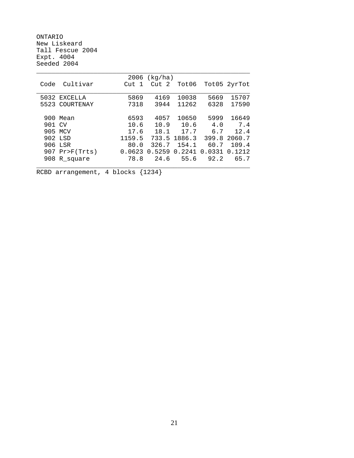ONTARIO New Liskeard Tall Fescue 2004 Expt. 4004 Seeded 2004

|         |                  | 2006   | (kg/ha) |              |            |              |
|---------|------------------|--------|---------|--------------|------------|--------------|
| Code    | Cultivar         | Cut 1  | Cut 2   | Tot06        |            | Tot05 2yrTot |
|         |                  |        |         |              |            |              |
|         | 5032 EXCELLA     | 5869   | 4169    | 10038        | 5669       | 15707        |
|         | 5523 COURTENAY   | 7318   | 3944    | 11262        | 6328       | 17590        |
|         |                  |        |         |              |            |              |
|         | 900 Mean         | 6593   | 4057    | 10650        | 5999       | 16649        |
| 901 CV  |                  | 10.6   | 10.9    | 10.6         | 4.0        | 7.4          |
| 905 MCV |                  | 17.6   | 18.1    | 17.7         | 6.7        | 12.4         |
| 902 LSD |                  | 1159.5 |         | 733.5 1886.3 | 399.8      | 2060.7       |
| 906 LSR |                  | 80.0   | 326.7   |              | 154.1 60.7 | 109.4        |
|         | $907$ Pr>F(Trts) | 0.0623 | 0.5259  | 0.2241       | 0.0331     | 0.1212       |
|         | 908 R_square     | 78.8   |         | $24.6$ 55.6  | 92.2       | 65.7         |
|         |                  |        |         |              |            |              |
|         |                  |        |         |              |            |              |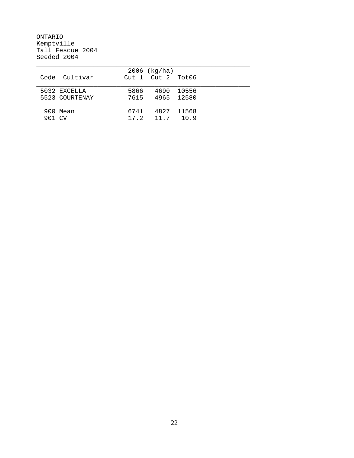ONTARIO Kemptville Tall Fescue 2004 Seeded 2004

| 6741 |                                 |                        |                                                                                                |
|------|---------------------------------|------------------------|------------------------------------------------------------------------------------------------|
|      |                                 |                        |                                                                                                |
|      | Code Cultivar<br>5523 COURTENAY | $2006$ (kg/ha)<br>5866 | $Cut 1$ $Cut 2$ $Tot06$<br>4690 10556<br>7615 4965 12580<br>4827 11568<br>$17.2$ $11.7$ $10.9$ |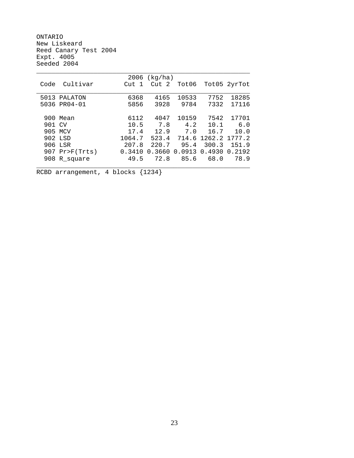ONTARIO New Liskeard Reed Canary Test 2004 Expt. 4005 Seeded 2004

|         |                  | 2006   | (kg/ha)   |        |                     |              |
|---------|------------------|--------|-----------|--------|---------------------|--------------|
| Code    | Cultivar         | Cut 1  | Cut 2     | Tot06  |                     | Tot05 2yrTot |
|         |                  |        |           |        |                     |              |
|         | 5013 PALATON     | 6368   | 4165      | 10533  | 7752                | 18285        |
|         | 5036 PR04-01     | 5856   | 3928      | 9784   | 7332                | 17116        |
|         |                  |        |           |        |                     |              |
|         | 900 Mean         | 6112   | 4047      | 10159  | 7542                | 17701        |
| 901 CV  |                  | 10.5   | 7.8       | 4.2    | 10.1                | 6.0          |
| 905 MCV |                  |        | 17.4 12.9 | 7.0    | 16.7                | 10.0         |
| 902 LSD |                  | 1064.7 | 523.4     |        | 714.6 1262.2 1777.2 |              |
| 906 LSR |                  | 207.8  | 220.7     | 95.4   | 300.3               | 151.9        |
|         | $907$ Pr>F(Trts) | 0.3410 | 0.3660    | 0.0913 | 0.4930              | 0.2192       |
|         | 908 R_square     | 49.5   | 72.8      | 85.6   | 68.0                | 78.9         |
|         |                  |        |           |        |                     |              |
|         |                  |        |           |        |                     |              |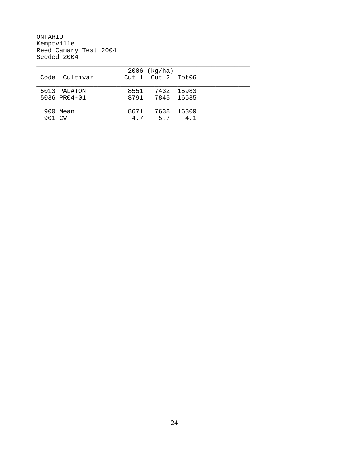ONTARIO Kemptville Reed Canary Test 2004 Seeded 2004

|        |               |      | $2006$ (kg/ha)          |       |  |
|--------|---------------|------|-------------------------|-------|--|
|        | Code Cultivar |      | $Cut 1$ $Cut 2$ $Tot06$ |       |  |
|        |               |      |                         |       |  |
|        | 5013 PALATON  |      | 8551 7432 15983         |       |  |
|        | 5036 PR04-01  |      | 8791 7845 16635         |       |  |
|        |               |      |                         |       |  |
|        | 900 Mean      | 8671 | 7638                    | 16309 |  |
| 901 CV |               |      | 4.7 5.7                 | 4.1   |  |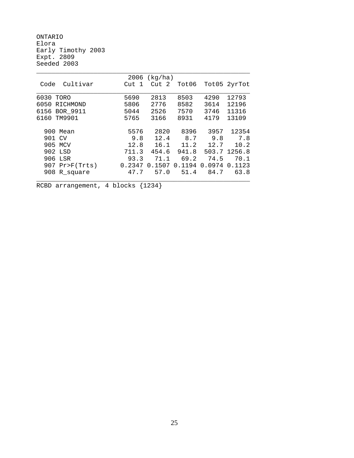ONTARIO Elora Early Timothy 2003 Expt. 2809 Seeded 2003

|                  | 2006   | (kg/ha)          |        |        |              |
|------------------|--------|------------------|--------|--------|--------------|
| Cultivar<br>Code | Cut 1  | Cut <sub>2</sub> | Tot06  |        | Tot05 2yrTot |
| 6030 TORO        | 5690   | 2813             | 8503   | 4290   | 12793        |
| 6050<br>RICHMOND | 5806   | 2776             | 8582   | 3614   | 12196        |
| 6156 BOR 9911    | 5044   | 2526             | 7570   | 3746   | 11316        |
| 6160 TM9901      | 5765   | 3166             | 8931   | 4179   | 13109        |
| 900 Mean         | 5576   | 2820             | 8396   | 3957   | 12354        |
| 901 CV           | 9.8    | 12.4             | 8.7    | 9.8    | 7.8          |
| 905 MCV          | 12.8   | 16.1             | 11.2   | 12.7   | 10.2         |
| 902 LSD          | 711.3  | 454.6            | 941.8  |        | 503.7 1256.8 |
| 906 LSR          | 93.3   | 71.1             | 69.2   | 74.5   | 70.1         |
| $907$ Pr>F(Trts) | 0.2347 | 0.1507           | 0.1194 | 0.0974 | 0.1123       |
| 908 R_square     | 47.7   | 57.0             | 51.4   | 84.7   | 63.8         |
|                  |        |                  |        |        |              |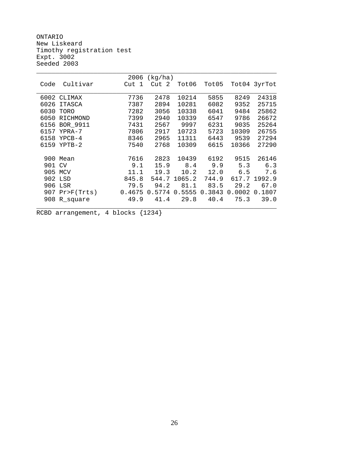ONTARIO New Liskeard Timothy registration test Expt. 3002 Seeded 2003

|      |                | 2006   | (kg/ha) |        |        |        |              |
|------|----------------|--------|---------|--------|--------|--------|--------------|
| Code | Cultivar       | Cut 1  | Cut 2   | Tot06  | Tot05  |        | Tot04 3yrTot |
|      |                |        |         |        |        |        |              |
|      | 6002 CLIMAX    | 7736   | 2478    | 10214  | 5855   | 8249   | 24318        |
| 6026 | <b>ITASCA</b>  | 7387   | 2894    | 10281  | 6082   | 9352   | 25715        |
| 6030 | TORO           | 7282   | 3056    | 10338  | 6041   | 9484   | 25862        |
| 6050 | RICHMOND       | 7399   | 2940    | 10339  | 6547   | 9786   | 26672        |
| 6156 | BOR 9911       | 7431   | 2567    | 9997   | 6231   | 9035   | 25264        |
| 6157 | YPRA-7         | 7806   | 2917    | 10723  | 5723   | 10309  | 26755        |
| 6158 | $YPCB-4$       | 8346   | 2965    | 11311  | 6443   | 9539   | 27294        |
| 6159 | $YPTB-2$       | 7540   | 2768    | 10309  | 6615   | 10366  | 27290        |
|      |                |        |         |        |        |        |              |
| 900  | Mean           | 7616   | 2823    | 10439  | 6192   | 9515   | 26146        |
| 901  | CV             | 9.1    | 15.9    | 8.4    | 9.9    | 5.3    | 6.3          |
| 905  | MCV            | 11.1   | 19.3    | 10.2   | 12.0   | 6.5    | 7.6          |
| 902  | LSD            | 845.8  | 544.7   | 1065.2 | 744.9  | 617.7  | 1992.9       |
| 906  | LSR            | 79.5   | 94.2    | 81.1   | 83.5   | 29.2   | 67.0         |
| 907  | $Pr$ $F(Trts)$ | 0.4675 | 0.5774  | 0.5555 | 0.3843 | 0.0002 | 0.1807       |
| 908  | R_square       | 49.9   | 41.4    | 29.8   | 40.4   | 75.3   | 39.0         |
|      |                |        |         |        |        |        |              |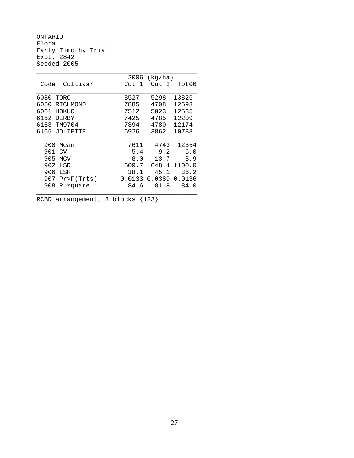ONTARIO Elora Early Timothy Trial Expt. 2842 Seeded 2005

|                      | 2006                  | (kg/ha) |        |
|----------------------|-----------------------|---------|--------|
| Cultivar<br>Code     | Cut<br>$\overline{1}$ | Cut 2   | Tot06  |
|                      |                       |         |        |
| 6030<br>TORO         | 8527                  | 5298    | 13826  |
| 6050<br>RICHMOND     | 7885                  | 4708    | 12593  |
| HOKUO<br>6061        | 7512                  | 5023    | 12535  |
| 6162<br><b>DERBY</b> | 7425                  | 4785    | 12209  |
| TM9704<br>6163       | 7394                  | 4780    | 12174  |
| 6165 JOLIETTE        | 6926                  | 3862    | 10788  |
| 900<br>Mean          | 7611                  | 4743    | 12354  |
| 901<br>CV            | 5.4                   | 9.2     | 6.0    |
| 905<br>MCV           | 8.0                   | 13.7    | 8.9    |
| 902<br>LSD           | 609.7                 | 648.4   | 1100.0 |
| 906<br>LSR           | 38.1                  | 45.1    | 36.2   |
| Pr > F(Trts)<br>907  | 0.0133                | 0.0389  | 0.0136 |
| 908<br>R square      | 84.6                  | 81.8    | 84.0   |
|                      |                       |         |        |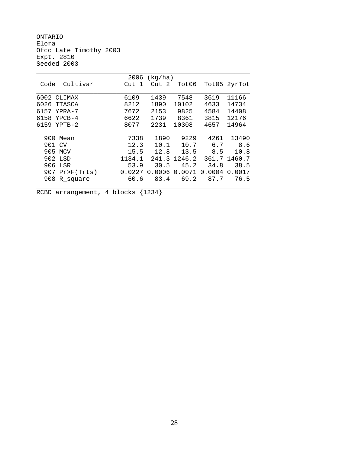ONTARIO Elora Ofcc Late Timothy 2003 Expt. 2810 Seeded 2003

|                  | 2006   | (kg/ha) |        |        |              |
|------------------|--------|---------|--------|--------|--------------|
| Cultivar<br>Code | Cut 1  | Cut 2   | Tot06  |        | Tot05 2yrTot |
| 6002 CLIMAX      | 6109   | 1439    | 7548   | 3619   | 11166        |
| 6026<br>ITASCA   | 8212   | 1890    | 10102  | 4633   | 14734        |
| 6157<br>YPRA-7   | 7672   | 2153    | 9825   | 4584   | 14408        |
| 6158<br>$YPCB-4$ | 6622   | 1739    | 8361   | 3815   | 12176        |
| 6159<br>YPTB-2   | 8077   | 2231    | 10308  | 4657   | 14964        |
| 900 Mean         | 7338   | 1890    | 9229   | 4261   | 13490        |
| 901 CV           | 12.3   | 10.1    | 10.7   | 6.7    | 8.6          |
| 905 MCV          | 15.5   | 12.8    | 13.5   | 8.5    | 10.8         |
| 902 LSD          | 1134.1 | 241.3   | 1246.2 |        | 361.7 1460.7 |
| 906 LSR          | 53.9   | 30.5    | 45.2   | 34.8   | 38.5         |
| $907$ Pr>F(Trts) | 0.0227 | 0.0006  | 0.0071 | 0.0004 | 0.0017       |
| 908 R_square     | 60.6   | 83.4    | 69.2   | 87.7   | 76.5         |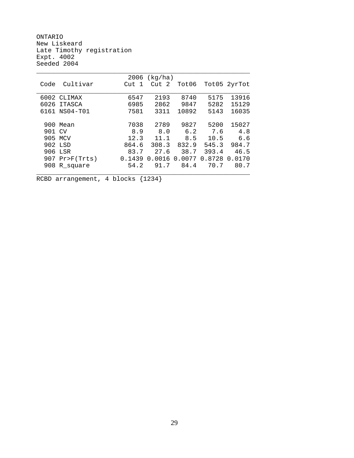ONTARIO New Liskeard Late Timothy registration Expt. 4002 Seeded 2004

|         |                  |        | $2006$ (kg/ha) |        |        |              |
|---------|------------------|--------|----------------|--------|--------|--------------|
| Code    | Cultivar         | Cut 1  | Cut 2          | Tot06  |        | Tot05 2yrTot |
|         |                  |        |                |        |        |              |
|         | 6002 CLIMAX      | 6547   | 2193           | 8740   | 5175   | 13916        |
| 6026    | ITASCA           | 6985   | 2862           | 9847   | 5282   | 15129        |
|         | 6161 NS04-T01    | 7581   | 3311           | 10892  | 5143   | 16035        |
|         |                  |        |                |        |        |              |
|         | 900 Mean         | 7038   | 2789           | 9827   | 5200   | 15027        |
| 901 CV  |                  | 8.9    | 8.0            | 6.2    | 7.6    | 4.8          |
| 905 MCV |                  | 12.3   | 11.1           | 8.5    | 10.5   | 6.6          |
|         | 902 LSD          | 864.6  | 308.3          | 832.9  | 545.3  | 984.7        |
|         | 906 LSR          | 83.7   | 27.6           | 38.7   | 393.4  | 46.5         |
|         | $907$ Pr>F(Trts) | 0.1439 | 0.0016         | 0.0077 | 0.8728 | 0.0170       |
|         | 908 R square     | 54.2   | 91.7           | 84.4   | 70.7   | 80.7         |
|         |                  |        |                |        |        |              |
|         |                  |        |                |        |        |              |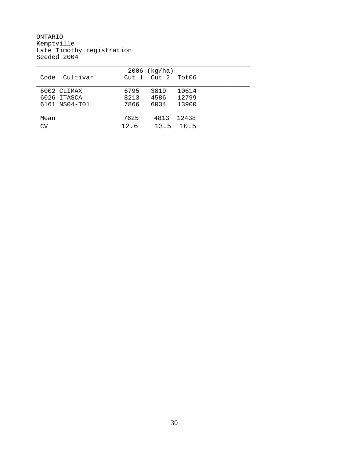ONTARIO Kemptville Late Timothy registration Seeded 2004

|                  |      | $2006$ (kg/ha)  |        |  |
|------------------|------|-----------------|--------|--|
| Cultivar<br>Code |      | $Cut 1$ $Cut 2$ | Tot 06 |  |
|                  |      |                 |        |  |
| 6002 CLIMAX      | 6795 | 3819            | 10614  |  |
| 6026 ITASCA      | 8213 | 4586            | 12799  |  |
| 6161 NS04-T01    | 7866 | 6034            | 13900  |  |
|                  |      |                 |        |  |
| Mean             | 7625 | 4813            | 12438  |  |
| CV               | 12.6 | 13.5            | 10.5   |  |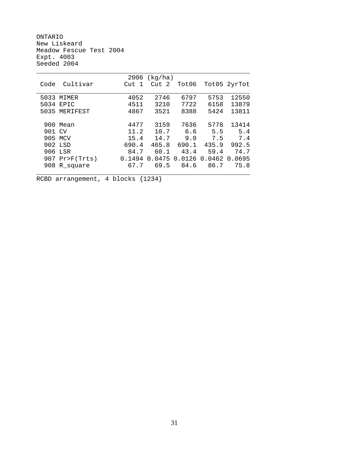ONTARIO New Liskeard Meadow Fescue Test 2004 Expt. 4003 Seeded 2004

| Cultivar | Cut 1                                                                                                                         | Cut 2  |                       |                         | Tot05 2yrTot                          |
|----------|-------------------------------------------------------------------------------------------------------------------------------|--------|-----------------------|-------------------------|---------------------------------------|
|          |                                                                                                                               |        |                       |                         |                                       |
| MIMER    | 4052                                                                                                                          | 2746   | 6797                  | 5753                    | 12550                                 |
|          | 4511                                                                                                                          | 3210   | 7722                  | 6158                    | 13879                                 |
|          | 4867                                                                                                                          | 3521   | 8388                  | 5424                    | 13811                                 |
|          |                                                                                                                               |        |                       |                         |                                       |
|          | 4477                                                                                                                          | 3159   |                       | 5778                    | 13414                                 |
|          |                                                                                                                               | 10.7   | 6.6                   | 5.5                     | 5.4                                   |
|          |                                                                                                                               | 14.7   | 9.0                   | 7.5                     | 7.4                                   |
|          |                                                                                                                               |        | 690.1                 | 435.9                   | 992.5                                 |
|          | 84.7                                                                                                                          | 60.1   | 43.4                  | 59.4                    | 74.7                                  |
|          | 0.1494                                                                                                                        | 0.0475 |                       |                         |                                       |
|          | 67.7                                                                                                                          | 69.5   | 84.6                  | 86.7                    | 75.8                                  |
|          |                                                                                                                               |        |                       |                         |                                       |
| Code     | 5033<br>5034 EPIC<br>5035 MERIFEST<br>900 Mean<br>901 CV<br>905 MCV<br>902 LSD<br>906 LSR<br>$907$ Pr>F(Trts)<br>908 R_square |        | 11.2<br>15.4<br>690.4 | $2006$ (kg/ha)<br>465.8 | Tot06<br>7636<br>0.0126 0.0462 0.0695 |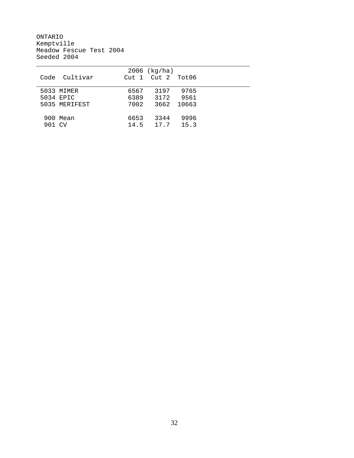ONTARIO Kemptville Meadow Fescue Test 2004 Seeded 2004

|               | $2006$ (kg/ha)          |            |  |
|---------------|-------------------------|------------|--|
| Code Cultivar | $Cut 1$ $Cut 2$ $Tot06$ |            |  |
|               |                         |            |  |
| 5033 MIMER    | 6567<br>3197            | 9765       |  |
| 5034 EPIC     | 6389<br>3172            | 9561       |  |
| 5035 MERIFEST | 7002                    | 3662 10663 |  |
|               |                         |            |  |
| 900 Mean      | 6653<br>3344            | 9996       |  |
| 901 CV        | 17.7<br>14.5            | 15.3       |  |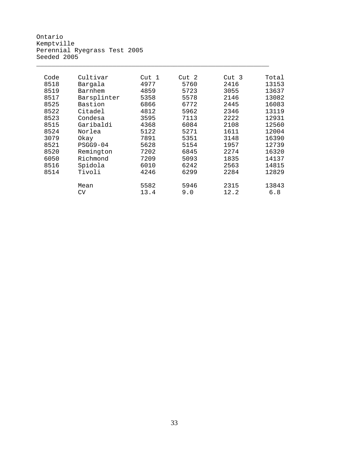Ontario Kemptville Perennial Ryegrass Test 2005 Seeded 2005

| Code | Cultivar    | Cut 1 | Cut 2 | Cut 3 | Total |
|------|-------------|-------|-------|-------|-------|
| 8518 | Bargala     | 4977  | 5760  | 2416  | 13153 |
| 8519 | Barnhem     | 4859  | 5723  | 3055  | 13637 |
| 8517 | Barsplinter | 5358  | 5578  | 2146  | 13082 |
| 8525 | Bastion     | 6866  | 6772  | 2445  | 16083 |
| 8522 | Citadel     | 4812  | 5962  | 2346  | 13119 |
| 8523 | Condesa     | 3595  | 7113  | 2222  | 12931 |
| 8515 | Garibaldi   | 4368  | 6084  | 2108  | 12560 |
| 8524 | Norlea      | 5122  | 5271  | 1611  | 12004 |
| 3079 | Okay        | 7891  | 5351  | 3148  | 16390 |
| 8521 | $PSGG9-04$  | 5628  | 5154  | 1957  | 12739 |
| 8520 | Remington   | 7202  | 6845  | 2274  | 16320 |
| 6050 | Richmond    | 7209  | 5093  | 1835  | 14137 |
| 8516 | Spidola     | 6010  | 6242  | 2563  | 14815 |
| 8514 | Tivoli      | 4246  | 6299  | 2284  | 12829 |
|      |             |       |       |       |       |
|      | Mean        | 5582  | 5946  | 2315  | 13843 |
|      | CV          | 13.4  | 9.0   | 12.2  | 6.8   |

\_\_\_\_\_\_\_\_\_\_\_\_\_\_\_\_\_\_\_\_\_\_\_\_\_\_\_\_\_\_\_\_\_\_\_\_\_\_\_\_\_\_\_\_\_\_\_\_\_\_\_\_\_\_\_\_\_\_\_\_\_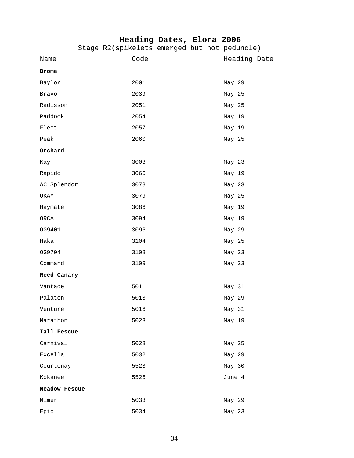### **Heading Dates, Elora 2006**

|               | Stage R2(spikelets emerged but not peduncle) |  |              |  |
|---------------|----------------------------------------------|--|--------------|--|
| Name          | Code                                         |  | Heading Date |  |
| Brome         |                                              |  |              |  |
| Baylor        | 2001                                         |  | May 29       |  |
| Bravo         | 2039                                         |  | May 25       |  |
| Radisson      | 2051                                         |  | May 25       |  |
| Paddock       | 2054                                         |  | May 19       |  |
| Fleet         | 2057                                         |  | May 19       |  |
| Peak          | 2060                                         |  | May 25       |  |
| Orchard       |                                              |  |              |  |
| Kay           | 3003                                         |  | May 23       |  |
| Rapido        | 3066                                         |  | May 19       |  |
| AC Splendor   | 3078                                         |  | May 23       |  |
| OKAY          | 3079                                         |  | May 25       |  |
| Haymate       | 3086                                         |  | May 19       |  |
| ORCA          | 3094                                         |  | May 19       |  |
| OG9401        | 3096                                         |  | May 29       |  |
| Haka          | 3104                                         |  | May 25       |  |
| OG9704        | 3108                                         |  | May 23       |  |
| Command       | 3109                                         |  | May 23       |  |
| Reed Canary   |                                              |  |              |  |
| Vantage       | 5011                                         |  | May 31       |  |
| Palaton       | 5013                                         |  | May 29       |  |
| Venture       | 5016                                         |  | May 31       |  |
| Marathon      | 5023                                         |  | May 19       |  |
| Tall Fescue   |                                              |  |              |  |
| Carnival      | 5028                                         |  | May 25       |  |
| Excella       | 5032                                         |  | May 29       |  |
| Courtenay     | 5523                                         |  | May 30       |  |
| Kokanee       | 5526                                         |  | June 4       |  |
| Meadow Fescue |                                              |  |              |  |
| Mimer         | 5033                                         |  | May 29       |  |
| Epic          | 5034                                         |  | May 23       |  |